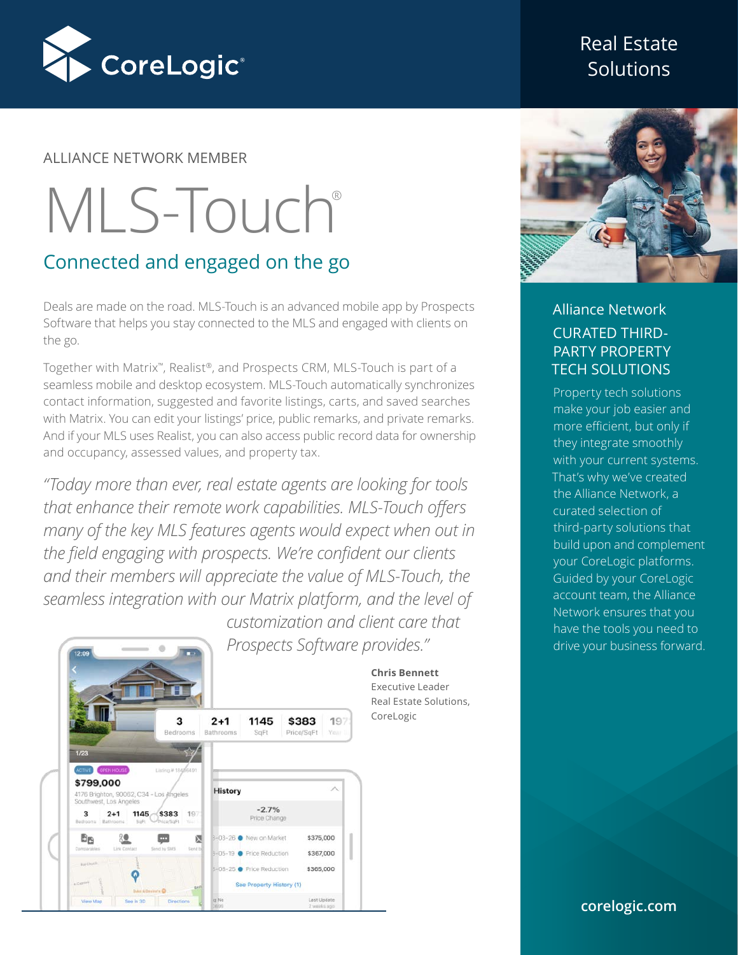

#### ALLIANCE NETWORK MEMBER

# MLS-Touch®

## Connected and engaged on the go

Deals are made on the road. MLS-Touch is an advanced mobile app by Prospects Software that helps you stay connected to the MLS and engaged with clients on the go.

Together with Matrix™, Realist®, and Prospects CRM, MLS-Touch is part of a seamless mobile and desktop ecosystem. MLS-Touch automatically synchronizes contact information, suggested and favorite listings, carts, and saved searches with Matrix. You can edit your listings' price, public remarks, and private remarks. And if your MLS uses Realist, you can also access public record data for ownership and occupancy, assessed values, and property tax.

*"Today more than ever, real estate agents are looking for tools that enhance their remote work capabilities. MLS-Touch offers many of the key MLS features agents would expect when out in the field engaging with prospects. We're confident our clients and their members will appreciate the value of MLS-Touch, the seamless integration with our Matrix platform, and the level of customization and client care that* 

*Prospects Software provides."*



## Real Estate **Solutions**



## Alliance Network CURATED THIRD-PARTY PROPERTY TECH SOLUTIONS

Property tech solutions make your job easier and more efficient, but only if they integrate smoothly with your current systems. That's why we've created the Alliance Network, a curated selection of third-party solutions that build upon and complement your CoreLogic platforms. Guided by your CoreLogic account team, the Alliance Network ensures that you have the tools you need to drive your business forward.

**corelogic.com**